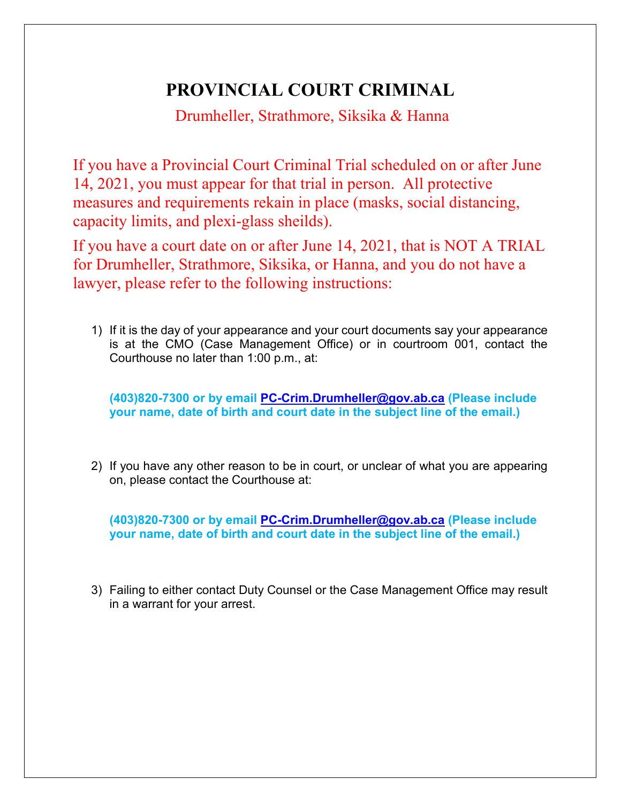## **PROVINCIAL COURT CRIMINAL**

Drumheller, Strathmore, Siksika & Hanna

If you have a Provincial Court Criminal Trial scheduled on or after June 14, 2021, you must appear for that trial in person. All protective measures and requirements rekain in place (masks, social distancing, capacity limits, and plexi-glass sheilds).

If you have a court date on or after June 14, 2021, that is NOT A TRIAL for Drumheller, Strathmore, Siksika, or Hanna, and you do not have a lawyer, please refer to the following instructions:

1) If it is the day of your appearance and your court documents say your appearance is at the CMO (Case Management Office) or in courtroom 001, contact the Courthouse no later than 1:00 p.m., at:

**(403)820-7300 or by email [PC-Crim.Drumheller@gov.ab.ca](mailto:PC-Crim.Drumheller@gov.ab.ca) (Please include your name, date of birth and court date in the subject line of the email.)**

2) If you have any other reason to be in court, or unclear of what you are appearing on, please contact the Courthouse at:

**(403)820-7300 or by email [PC-Crim.Drumheller@gov.ab.ca](mailto:PC-Crim.Drumheller@gov.ab.ca) (Please include your name, date of birth and court date in the subject line of the email.)**

3) Failing to either contact Duty Counsel or the Case Management Office may result in a warrant for your arrest.